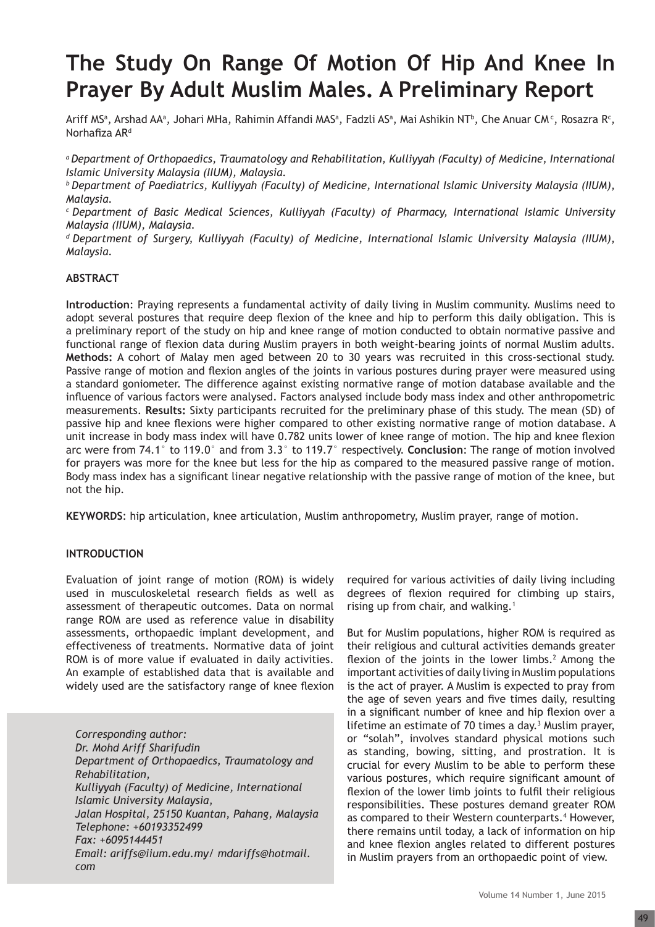# **The Study On Range Of Motion Of Hip And Knee In Prayer By Adult Muslim Males. A Preliminary Report**

Ariff MSª, Arshad AAª, Johari MHa, Rahimin Affandi MASª, Fadzli ASª, Mai Ashikin NTʰ, Che Anuar CM¢, Rosazra R¢, Norhafiza AR<sup>d</sup>

*a Department of Orthopaedics, Traumatology and Rehabilitation, Kulliyyah (Faculty) of Medicine, International Islamic University Malaysia (IIUM), Malaysia.*

*b Department of Paediatrics, Kulliyyah (Faculty) of Medicine, International Islamic University Malaysia (IIUM), Malaysia.*

*c Department of Basic Medical Sciences, Kulliyyah (Faculty) of Pharmacy, International Islamic University Malaysia (IIUM), Malaysia.* 

*d Department of Surgery, Kulliyyah (Faculty) of Medicine, International Islamic University Malaysia (IIUM), Malaysia.*

## **ABSTRACT**

**Introduction**: Praying represents a fundamental activity of daily living in Muslim community. Muslims need to adopt several postures that require deep flexion of the knee and hip to perform this daily obligation. This is a preliminary report of the study on hip and knee range of motion conducted to obtain normative passive and functional range of flexion data during Muslim prayers in both weight-bearing joints of normal Muslim adults. **Methods:** A cohort of Malay men aged between 20 to 30 years was recruited in this cross-sectional study. Passive range of motion and flexion angles of the joints in various postures during prayer were measured using a standard goniometer. The difference against existing normative range of motion database available and the influence of various factors were analysed. Factors analysed include body mass index and other anthropometric measurements. **Results:** Sixty participants recruited for the preliminary phase of this study. The mean (SD) of passive hip and knee flexions were higher compared to other existing normative range of motion database. A unit increase in body mass index will have 0.782 units lower of knee range of motion. The hip and knee flexion arc were from 74.1° to 119.0° and from 3.3° to 119.7° respectively. **Conclusion**: The range of motion involved for prayers was more for the knee but less for the hip as compared to the measured passive range of motion. Body mass index has a significant linear negative relationship with the passive range of motion of the knee, but not the hip.

**KEYWORDS**: hip articulation, knee articulation, Muslim anthropometry, Muslim prayer, range of motion.

## **INTRODUCTION**

Evaluation of joint range of motion (ROM) is widely used in musculoskeletal research fields as well as assessment of therapeutic outcomes. Data on normal range ROM are used as reference value in disability assessments, orthopaedic implant development, and effectiveness of treatments. Normative data of joint ROM is of more value if evaluated in daily activities. An example of established data that is available and widely used are the satisfactory range of knee flexion

*Corresponding author: Dr. Mohd Ariff Sharifudin Department of Orthopaedics, Traumatology and Rehabilitation, Kulliyyah (Faculty) of Medicine, International Islamic University Malaysia, Jalan Hospital, 25150 Kuantan, Pahang, Malaysia Telephone: +60193352499 Fax: +6095144451 Email: ariffs@iium.edu.my/ mdariffs@hotmail. com*

required for various activities of daily living including degrees of flexion required for climbing up stairs, rising up from chair, and walking.<sup>1</sup>

But for Muslim populations, higher ROM is required as their religious and cultural activities demands greater flexion of the joints in the lower limbs. $2$  Among the important activities of daily living in Muslim populations is the act of prayer. A Muslim is expected to pray from the age of seven years and five times daily, resulting in a significant number of knee and hip flexion over a lifetime an estimate of 70 times a day. $3$  Muslim prayer, or "solah", involves standard physical motions such as standing, bowing, sitting, and prostration. It is crucial for every Muslim to be able to perform these various postures, which require significant amount of flexion of the lower limb joints to fulfil their religious responsibilities. These postures demand greater ROM as compared to their Western counterparts.<sup>4</sup> However, there remains until today, a lack of information on hip and knee flexion angles related to different postures in Muslim prayers from an orthopaedic point of view.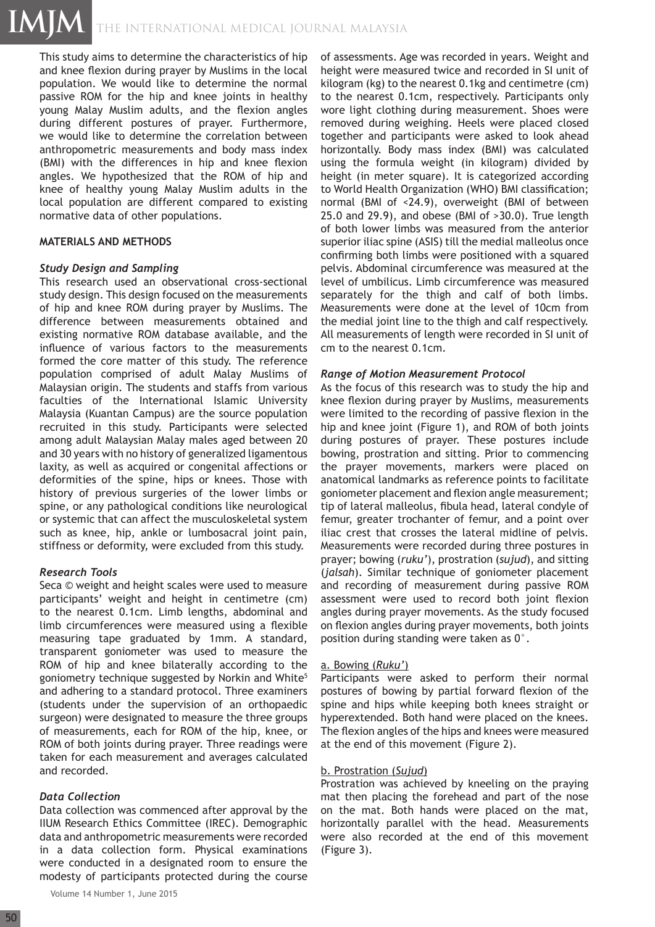This study aims to determine the characteristics of hip and knee flexion during prayer by Muslims in the local population. We would like to determine the normal passive ROM for the hip and knee joints in healthy young Malay Muslim adults, and the flexion angles during different postures of prayer. Furthermore, we would like to determine the correlation between anthropometric measurements and body mass index (BMI) with the differences in hip and knee flexion angles. We hypothesized that the ROM of hip and knee of healthy young Malay Muslim adults in the local population are different compared to existing normative data of other populations.

#### **MATERIALS AND METHODS**

## *Study Design and Sampling*

This research used an observational cross-sectional study design. This design focused on the measurements of hip and knee ROM during prayer by Muslims. The difference between measurements obtained and existing normative ROM database available, and the influence of various factors to the measurements formed the core matter of this study. The reference population comprised of adult Malay Muslims of Malaysian origin. The students and staffs from various faculties of the International Islamic University Malaysia (Kuantan Campus) are the source population recruited in this study. Participants were selected among adult Malaysian Malay males aged between 20 and 30 years with no history of generalized ligamentous laxity, as well as acquired or congenital affections or deformities of the spine, hips or knees. Those with history of previous surgeries of the lower limbs or spine, or any pathological conditions like neurological or systemic that can affect the musculoskeletal system such as knee, hip, ankle or lumbosacral joint pain, stiffness or deformity, were excluded from this study.

# *Research Tools*

Seca © weight and height scales were used to measure participants' weight and height in centimetre (cm) to the nearest 0.1cm. Limb lengths, abdominal and limb circumferences were measured using a flexible measuring tape graduated by 1mm. A standard, transparent goniometer was used to measure the ROM of hip and knee bilaterally according to the goniometry technique suggested by Norkin and White<sup>5</sup> and adhering to a standard protocol. Three examiners (students under the supervision of an orthopaedic surgeon) were designated to measure the three groups of measurements, each for ROM of the hip, knee, or ROM of both joints during prayer. Three readings were taken for each measurement and averages calculated and recorded.

# *Data Collection*

Data collection was commenced after approval by the IIUM Research Ethics Committee (IREC). Demographic data and anthropometric measurements were recorded in a data collection form. Physical examinations were conducted in a designated room to ensure the modesty of participants protected during the course

of assessments. Age was recorded in years. Weight and height were measured twice and recorded in SI unit of kilogram (kg) to the nearest 0.1kg and centimetre (cm) to the nearest 0.1cm, respectively. Participants only wore light clothing during measurement. Shoes were removed during weighing. Heels were placed closed together and participants were asked to look ahead horizontally. Body mass index (BMI) was calculated using the formula weight (in kilogram) divided by height (in meter square). It is categorized according to World Health Organization (WHO) BMI classification; normal (BMI of <24.9), overweight (BMI of between 25.0 and 29.9), and obese (BMI of >30.0). True length of both lower limbs was measured from the anterior superior iliac spine (ASIS) till the medial malleolus once confirming both limbs were positioned with a squared pelvis. Abdominal circumference was measured at the level of umbilicus. Limb circumference was measured separately for the thigh and calf of both limbs. Measurements were done at the level of 10cm from the medial joint line to the thigh and calf respectively. All measurements of length were recorded in SI unit of cm to the nearest 0.1cm.

## *Range of Motion Measurement Protocol*

As the focus of this research was to study the hip and knee flexion during prayer by Muslims, measurements were limited to the recording of passive flexion in the hip and knee joint (Figure 1), and ROM of both joints during postures of prayer. These postures include bowing, prostration and sitting. Prior to commencing the prayer movements, markers were placed on anatomical landmarks as reference points to facilitate goniometer placement and flexion angle measurement; tip of lateral malleolus, fibula head, lateral condyle of femur, greater trochanter of femur, and a point over iliac crest that crosses the lateral midline of pelvis. Measurements were recorded during three postures in prayer; bowing (*ruku'*), prostration (*sujud*), and sitting (*jalsah*). Similar technique of goniometer placement and recording of measurement during passive ROM assessment were used to record both joint flexion angles during prayer movements. As the study focused on flexion angles during prayer movements, both joints position during standing were taken as 0°.

# a. Bowing (*Ruku'*)

Participants were asked to perform their normal postures of bowing by partial forward flexion of the spine and hips while keeping both knees straight or hyperextended. Both hand were placed on the knees. The flexion angles of the hips and knees were measured at the end of this movement (Figure 2).

#### b. Prostration (*Sujud*)

Prostration was achieved by kneeling on the praying mat then placing the forehead and part of the nose on the mat. Both hands were placed on the mat, horizontally parallel with the head. Measurements were also recorded at the end of this movement (Figure 3).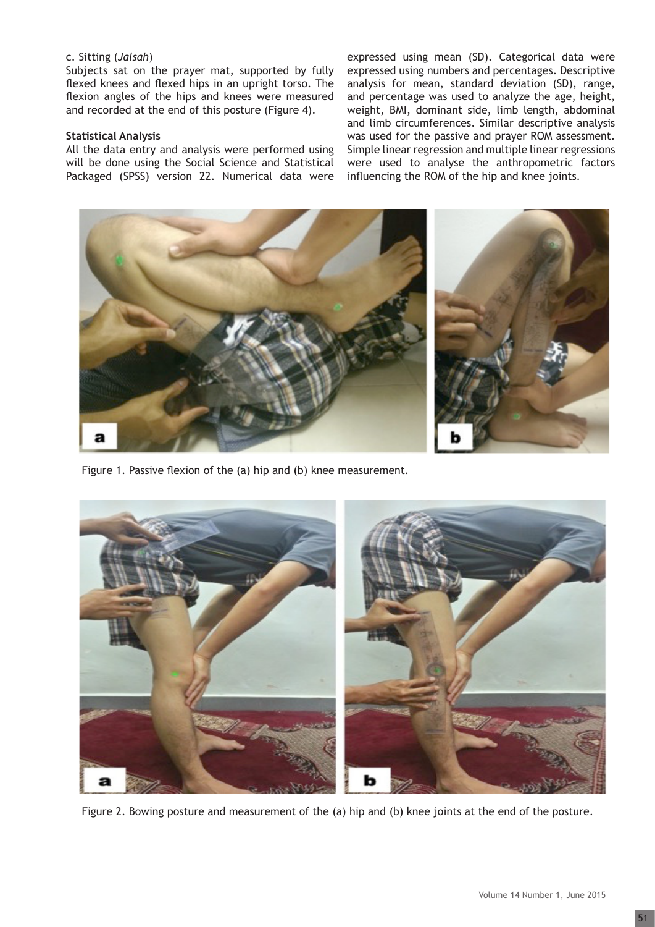## c. Sitting (*Jalsah*)

Subjects sat on the prayer mat, supported by fully flexed knees and flexed hips in an upright torso. The flexion angles of the hips and knees were measured and recorded at the end of this posture (Figure 4).

#### **Statistical Analysis**

All the data entry and analysis were performed using will be done using the Social Science and Statistical Packaged (SPSS) version 22. Numerical data were

expressed using mean (SD). Categorical data were expressed using numbers and percentages. Descriptive analysis for mean, standard deviation (SD), range, and percentage was used to analyze the age, height, weight, BMI, dominant side, limb length, abdominal and limb circumferences. Similar descriptive analysis was used for the passive and prayer ROM assessment. Simple linear regression and multiple linear regressions were used to analyse the anthropometric factors influencing the ROM of the hip and knee joints.



Figure 1. Passive flexion of the (a) hip and (b) knee measurement.



Figure 2. Bowing posture and measurement of the (a) hip and (b) knee joints at the end of the posture.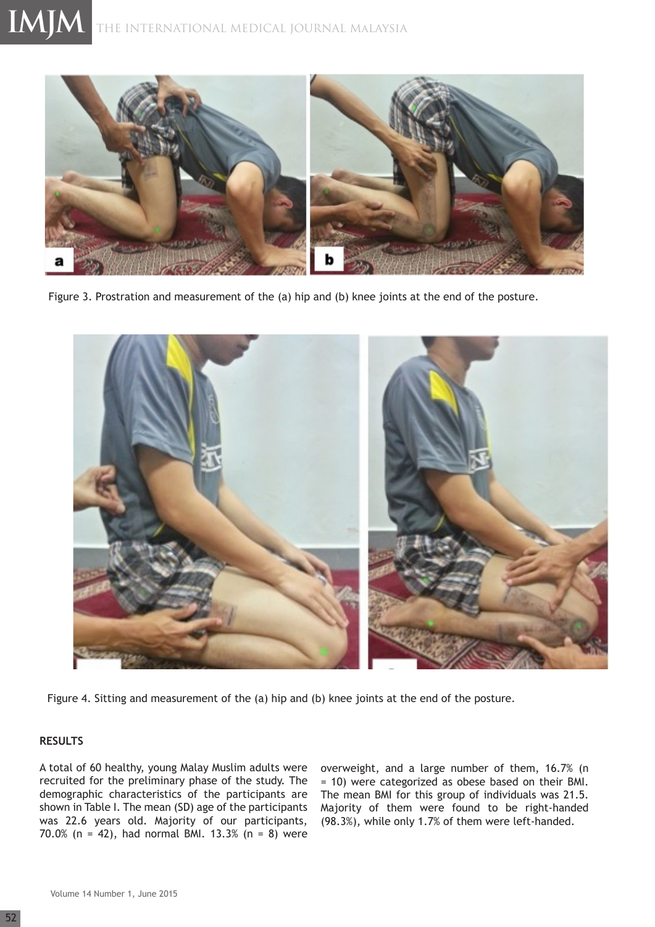

Figure 3. Prostration and measurement of the (a) hip and (b) knee joints at the end of the posture.



Figure 4. Sitting and measurement of the (a) hip and (b) knee joints at the end of the posture.

# **RESULTS**

A total of 60 healthy, young Malay Muslim adults were recruited for the preliminary phase of the study. The demographic characteristics of the participants are shown in Table I. The mean (SD) age of the participants was 22.6 years old. Majority of our participants, 70.0% (n = 42), had normal BMI. 13.3% (n = 8) were

overweight, and a large number of them, 16.7% (n = 10) were categorized as obese based on their BMI. The mean BMI for this group of individuals was 21.5. Majority of them were found to be right-handed (98.3%), while only 1.7% of them were left-handed.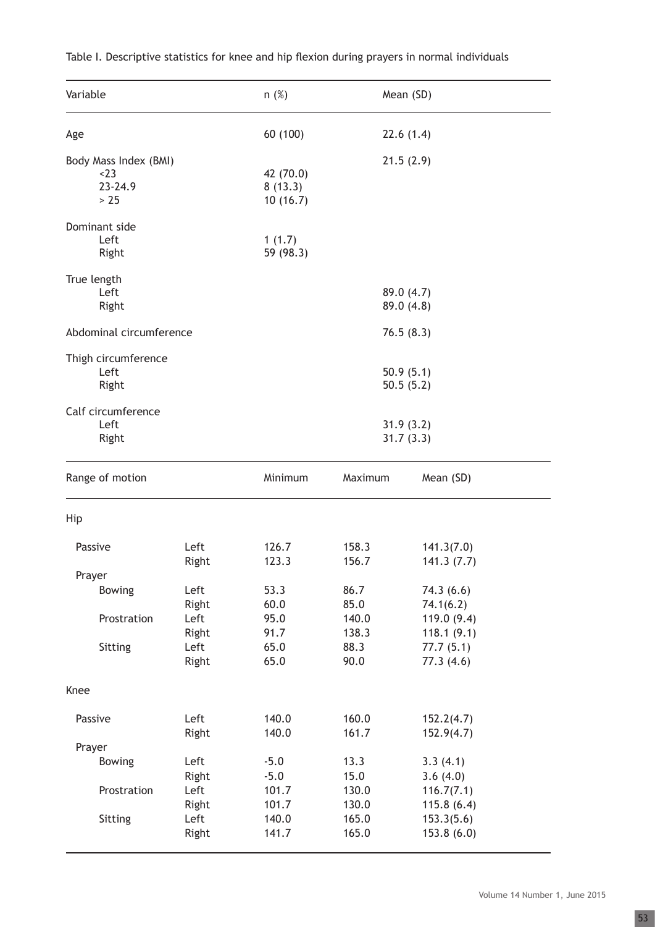| Variable                                          |                                | n(%)                             |                                | Mean (SD)                                          |  |  |
|---------------------------------------------------|--------------------------------|----------------------------------|--------------------------------|----------------------------------------------------|--|--|
| Age                                               |                                | 60 (100)                         |                                | 22.6(1.4)                                          |  |  |
| Body Mass Index (BMI)<br>$<$ 23<br>23-24.9<br>>25 |                                | 42 (70.0)<br>8(13.3)<br>10(16.7) |                                | 21.5(2.9)                                          |  |  |
| Dominant side<br>Left<br>Right                    |                                | 1(1.7)<br>59 (98.3)              |                                |                                                    |  |  |
| True length<br>Left<br>Right                      |                                |                                  |                                | 89.0 (4.7)<br>89.0(4.8)                            |  |  |
| Abdominal circumference                           |                                |                                  |                                | 76.5(8.3)                                          |  |  |
| Thigh circumference<br>Left<br>Right              |                                |                                  | 50.9(5.1)<br>50.5(5.2)         |                                                    |  |  |
| Calf circumference<br>Left<br>Right               |                                |                                  | 31.9(3.2)<br>31.7(3.3)         |                                                    |  |  |
| Range of motion                                   |                                | Minimum                          | Maximum                        | Mean (SD)                                          |  |  |
| Hip                                               |                                |                                  |                                |                                                    |  |  |
| Passive                                           | Left<br>Right                  | 126.7<br>123.3                   | 158.3<br>156.7                 | 141.3(7.0)<br>141.3(7.7)                           |  |  |
| Prayer<br><b>Bowing</b>                           | Left<br>Right                  | 53.3<br>60.0                     | 86.7<br>85.0                   | 74.3(6.6)<br>74.1(6.2)                             |  |  |
| Prostration<br>Sitting                            | Left<br>Right<br>Left<br>Right | 95.0<br>91.7<br>65.0<br>65.0     | 140.0<br>138.3<br>88.3<br>90.0 | 119.0(9.4)<br>118.1(9.1)<br>77.7(5.1)<br>77.3(4.6) |  |  |
| Knee                                              |                                |                                  |                                |                                                    |  |  |
| Passive                                           | Left<br>Right                  | 140.0<br>140.0                   | 160.0<br>161.7                 | 152.2(4.7)<br>152.9(4.7)                           |  |  |
| Prayer<br><b>Bowing</b>                           | Left                           | $-5.0$                           | 13.3                           | 3.3(4.1)                                           |  |  |
| Prostration                                       | Right<br>Left<br>Right         | $-5.0$<br>101.7<br>101.7         | 15.0<br>130.0<br>130.0         | 3.6(4.0)<br>116.7(7.1)<br>115.8(6.4)               |  |  |
| Sitting                                           | Left<br>Right                  | 140.0<br>141.7                   | 165.0<br>165.0                 | 153.3(5.6)<br>153.8(6.0)                           |  |  |

Table I. Descriptive statistics for knee and hip flexion during prayers in normal individuals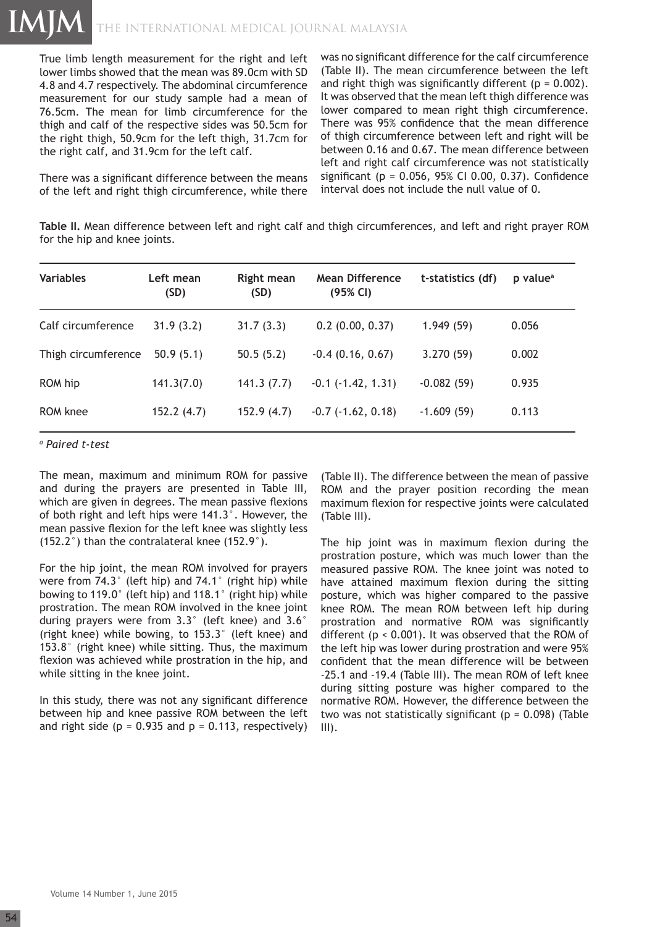True limb length measurement for the right and left lower limbs showed that the mean was 89.0cm with SD 4.8 and 4.7 respectively. The abdominal circumference measurement for our study sample had a mean of 76.5cm. The mean for limb circumference for the thigh and calf of the respective sides was 50.5cm for the right thigh, 50.9cm for the left thigh, 31.7cm for the right calf, and 31.9cm for the left calf.

There was a significant difference between the means of the left and right thigh circumference, while there was no significant difference for the calf circumference (Table II). The mean circumference between the left and right thigh was significantly different ( $p = 0.002$ ). It was observed that the mean left thigh difference was lower compared to mean right thigh circumference. There was 95% confidence that the mean difference of thigh circumference between left and right will be between 0.16 and 0.67. The mean difference between left and right calf circumference was not statistically significant (p = 0.056, 95% CI 0.00, 0.37). Confidence interval does not include the null value of 0.

**Table II.** Mean difference between left and right calf and thigh circumferences, and left and right prayer ROM for the hip and knee joints.

| <b>Variables</b>    | Left mean<br>(SD) | <b>Right mean</b><br>(SD) | <b>Mean Difference</b><br>(95% CI) | t-statistics (df) | p value <sup>a</sup> |
|---------------------|-------------------|---------------------------|------------------------------------|-------------------|----------------------|
| Calf circumference  | 31.9(3.2)         | 31.7(3.3)                 | $0.2$ (0.00, 0.37)                 | 1.949(59)         | 0.056                |
| Thigh circumference | 50.9(5.1)         | 50.5(5.2)                 | $-0.4$ (0.16, 0.67)                | 3.270(59)         | 0.002                |
| ROM hip             | 141.3(7.0)        | 141.3(7.7)                | $-0.1$ $(-1.42, 1.31)$             | $-0.082(59)$      | 0.935                |
| ROM knee            | 152.2(4.7)        | 152.9(4.7)                | $-0.7$ $(-1.62, 0.18)$             | $-1.609(59)$      | 0.113                |

*a Paired t-test*

The mean, maximum and minimum ROM for passive and during the prayers are presented in Table III, which are given in degrees. The mean passive flexions of both right and left hips were 141.3°. However, the mean passive flexion for the left knee was slightly less (152.2°) than the contralateral knee (152.9°).

For the hip joint, the mean ROM involved for prayers were from 74.3° (left hip) and 74.1° (right hip) while bowing to 119.0° (left hip) and 118.1° (right hip) while prostration. The mean ROM involved in the knee joint during prayers were from 3.3° (left knee) and 3.6° (right knee) while bowing, to 153.3° (left knee) and 153.8° (right knee) while sitting. Thus, the maximum flexion was achieved while prostration in the hip, and while sitting in the knee joint.

In this study, there was not any significant difference between hip and knee passive ROM between the left and right side ( $p = 0.935$  and  $p = 0.113$ , respectively)

(Table II). The difference between the mean of passive ROM and the prayer position recording the mean maximum flexion for respective joints were calculated (Table III).

The hip joint was in maximum flexion during the prostration posture, which was much lower than the measured passive ROM. The knee joint was noted to have attained maximum flexion during the sitting posture, which was higher compared to the passive knee ROM. The mean ROM between left hip during prostration and normative ROM was significantly different (p < 0.001). It was observed that the ROM of the left hip was lower during prostration and were 95% confident that the mean difference will be between -25.1 and -19.4 (Table III). The mean ROM of left knee during sitting posture was higher compared to the normative ROM. However, the difference between the two was not statistically significant ( $p = 0.098$ ) (Table III).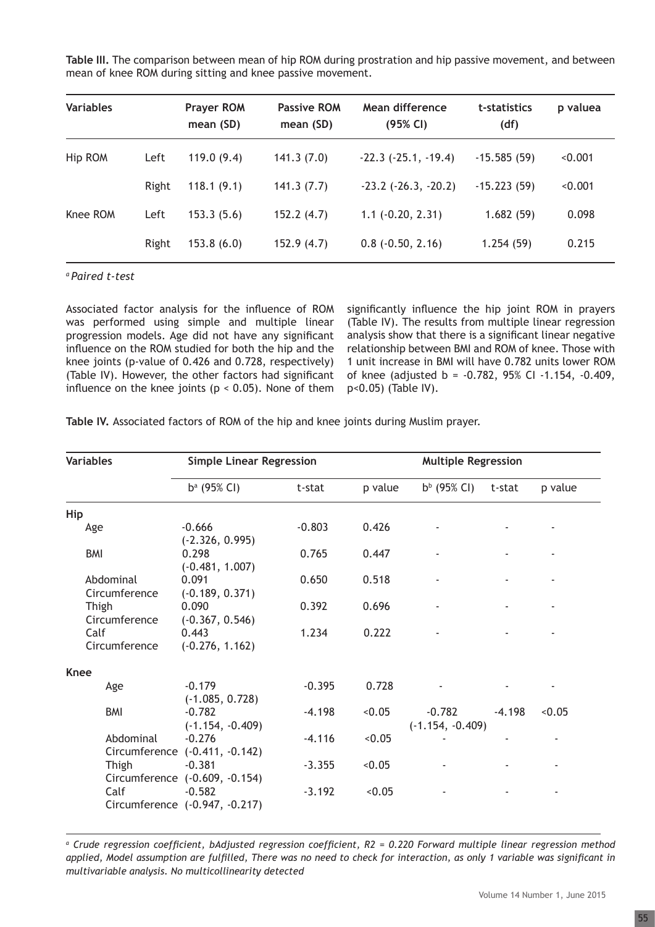| Table III. The comparison between mean of hip ROM during prostration and hip passive movement, and between |  |
|------------------------------------------------------------------------------------------------------------|--|
| mean of knee ROM during sitting and knee passive movement.                                                 |  |

| <b>Variables</b> |       | <b>Prayer ROM</b><br>mean (SD) | <b>Passive ROM</b><br>mean (SD) | Mean difference<br>(95% CI) | t-statistics<br>(df) | p valuea |
|------------------|-------|--------------------------------|---------------------------------|-----------------------------|----------------------|----------|
| Hip ROM          | Left  | 119.0(9.4)                     | 141.3(7.0)                      | $-22.3$ $(-25.1, -19.4)$    | $-15.585(59)$        | < 0.001  |
|                  | Right | 118.1(9.1)                     | 141.3(7.7)                      | $-23.2$ $(-26.3, -20.2)$    | $-15.223(59)$        | < 0.001  |
| Knee ROM         | Left  | 153.3(5.6)                     | 152.2(4.7)                      | $1.1 (-0.20, 2.31)$         | 1.682(59)            | 0.098    |
|                  | Right | 153.8(6.0)                     | 152.9(4.7)                      | $0.8$ ( $-0.50$ , 2.16)     | 1.254(59)            | 0.215    |

*a Paired t-test*

Associated factor analysis for the influence of ROM was performed using simple and multiple linear progression models. Age did not have any significant influence on the ROM studied for both the hip and the knee joints (p-value of 0.426 and 0.728, respectively) (Table IV). However, the other factors had significant influence on the knee joints ( $p < 0.05$ ). None of them significantly influence the hip joint ROM in prayers (Table IV). The results from multiple linear regression analysis show that there is a significant linear negative relationship between BMI and ROM of knee. Those with 1 unit increase in BMI will have 0.782 units lower ROM of knee (adjusted b = -0.782, 95% CI -1.154, -0.409, p<0.05) (Table IV).

| Table IV. Associated factors of ROM of the hip and knee joints during Muslim prayer. |
|--------------------------------------------------------------------------------------|
|--------------------------------------------------------------------------------------|

| <b>Variables</b>           | <b>Simple Linear Regression</b>            |          |         |                                | <b>Multiple Regression</b> |         |  |
|----------------------------|--------------------------------------------|----------|---------|--------------------------------|----------------------------|---------|--|
|                            | $b^a$ (95% CI)                             | t-stat   | p value | $b^{b}$ (95% CI)               | t-stat                     | p value |  |
| Hip                        |                                            |          |         |                                |                            |         |  |
| Age                        | $-0.666$<br>$(-2.326, 0.995)$              | $-0.803$ | 0.426   |                                |                            |         |  |
| <b>BMI</b>                 | 0.298<br>$(-0.481, 1.007)$                 | 0.765    | 0.447   |                                |                            |         |  |
| Abdominal<br>Circumference | 0.091<br>$(-0.189, 0.371)$                 | 0.650    | 0.518   |                                |                            |         |  |
| Thigh<br>Circumference     | 0.090<br>$(-0.367, 0.546)$                 | 0.392    | 0.696   |                                |                            |         |  |
| Calf<br>Circumference      | 0.443<br>$(-0.276, 1.162)$                 | 1.234    | 0.222   |                                |                            |         |  |
| <b>Knee</b>                |                                            |          |         |                                |                            |         |  |
| Age                        | $-0.179$<br>$(-1.085, 0.728)$              | $-0.395$ | 0.728   |                                |                            |         |  |
| <b>BMI</b>                 | $-0.782$<br>$(-1.154, -0.409)$             | $-4.198$ | < 0.05  | $-0.782$<br>$(-1.154, -0.409)$ | $-4.198$                   | < 0.05  |  |
| Abdominal                  | $-0.276$<br>Circumference (-0.411, -0.142) | $-4.116$ | < 0.05  |                                |                            |         |  |
| Thigh                      | $-0.381$<br>Circumference (-0.609, -0.154) | $-3.355$ | < 0.05  |                                |                            |         |  |
| Calf                       | $-0.582$<br>Circumference (-0.947, -0.217) | $-3.192$ | < 0.05  |                                |                            |         |  |

<sup>a</sup> Crude regression coefficient, bAdjusted regression coefficient, R2 = 0.220 Forward multiple linear regression method *applied, Model assumption are fulfilled, There was no need to check for interaction, as only 1 variable was significant in multivariable analysis. No multicollinearity detected*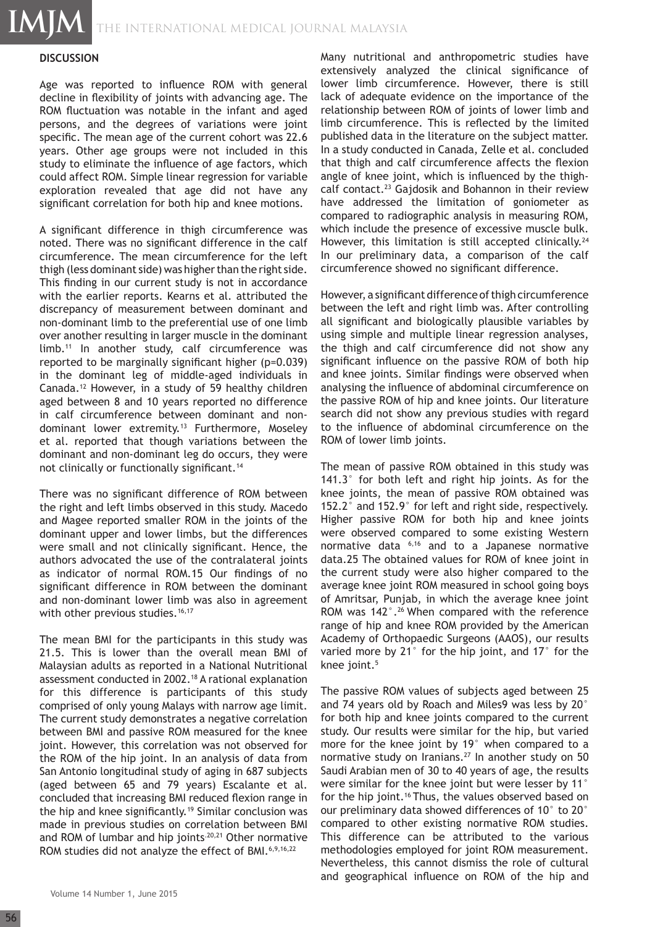THE INTERNATIONAL MEDICAL JOURNAL Malaysia

#### **DISCUSSION**

**IMJM**

Age was reported to influence ROM with general decline in flexibility of joints with advancing age. The ROM fluctuation was notable in the infant and aged persons, and the degrees of variations were joint specific. The mean age of the current cohort was 22.6 years. Other age groups were not included in this study to eliminate the influence of age factors, which could affect ROM. Simple linear regression for variable exploration revealed that age did not have any significant correlation for both hip and knee motions.

A significant difference in thigh circumference was noted. There was no significant difference in the calf circumference. The mean circumference for the left thigh (less dominant side) was higher than the right side. This finding in our current study is not in accordance with the earlier reports. Kearns et al. attributed the discrepancy of measurement between dominant and non-dominant limb to the preferential use of one limb over another resulting in larger muscle in the dominant limb.11 In another study, calf circumference was reported to be marginally significant higher (p=0.039) in the dominant leg of middle-aged individuals in Canada.12 However, in a study of 59 healthy children aged between 8 and 10 years reported no difference in calf circumference between dominant and nondominant lower extremity.13 Furthermore, Moseley et al. reported that though variations between the dominant and non-dominant leg do occurs, they were not clinically or functionally significant.<sup>14</sup>

There was no significant difference of ROM between the right and left limbs observed in this study. Macedo and Magee reported smaller ROM in the joints of the dominant upper and lower limbs, but the differences were small and not clinically significant. Hence, the authors advocated the use of the contralateral joints as indicator of normal ROM.15 Our findings of no significant difference in ROM between the dominant and non-dominant lower limb was also in agreement with other previous studies.<sup>16,17</sup>

The mean BMI for the participants in this study was 21.5. This is lower than the overall mean BMI of Malaysian adults as reported in a National Nutritional assessment conducted in 2002.18 A rational explanation for this difference is participants of this study comprised of only young Malays with narrow age limit. The current study demonstrates a negative correlation between BMI and passive ROM measured for the knee joint. However, this correlation was not observed for the ROM of the hip joint. In an analysis of data from San Antonio longitudinal study of aging in 687 subjects (aged between 65 and 79 years) Escalante et al. concluded that increasing BMI reduced flexion range in the hip and knee significantly.<sup>19</sup> Similar conclusion was made in previous studies on correlation between BMI and ROM of lumbar and hip joints.<sup>20,21</sup> Other normative ROM studies did not analyze the effect of BMI.<sup>6,9,16,22</sup>

Many nutritional and anthropometric studies have extensively analyzed the clinical significance of lower limb circumference. However, there is still lack of adequate evidence on the importance of the relationship between ROM of joints of lower limb and limb circumference. This is reflected by the limited published data in the literature on the subject matter. In a study conducted in Canada, Zelle et al. concluded that thigh and calf circumference affects the flexion angle of knee joint, which is influenced by the thighcalf contact.<sup>23</sup> Gajdosik and Bohannon in their review have addressed the limitation of goniometer as compared to radiographic analysis in measuring ROM, which include the presence of excessive muscle bulk. However, this limitation is still accepted clinically.<sup>24</sup> In our preliminary data, a comparison of the calf circumference showed no significant difference.

However, a significant difference of thigh circumference between the left and right limb was. After controlling all significant and biologically plausible variables by using simple and multiple linear regression analyses, the thigh and calf circumference did not show any significant influence on the passive ROM of both hip and knee joints. Similar findings were observed when analysing the influence of abdominal circumference on the passive ROM of hip and knee joints. Our literature search did not show any previous studies with regard to the influence of abdominal circumference on the ROM of lower limb joints.

The mean of passive ROM obtained in this study was 141.3° for both left and right hip joints. As for the knee joints, the mean of passive ROM obtained was 152.2° and 152.9° for left and right side, respectively. Higher passive ROM for both hip and knee joints were observed compared to some existing Western normative data 6,16 and to a Japanese normative data.25 The obtained values for ROM of knee joint in the current study were also higher compared to the average knee joint ROM measured in school going boys of Amritsar, Punjab, in which the average knee joint ROM was 142°.<sup>26</sup> When compared with the reference range of hip and knee ROM provided by the American Academy of Orthopaedic Surgeons (AAOS), our results varied more by 21° for the hip joint, and 17° for the knee joint.<sup>5</sup>

The passive ROM values of subjects aged between 25 and 74 years old by Roach and Miles9 was less by 20° for both hip and knee joints compared to the current study. Our results were similar for the hip, but varied more for the knee joint by 19° when compared to a normative study on Iranians.<sup>27</sup> In another study on 50 Saudi Arabian men of 30 to 40 years of age, the results were similar for the knee joint but were lesser by 11° for the hip joint.<sup>16</sup> Thus, the values observed based on our preliminary data showed differences of 10° to 20° compared to other existing normative ROM studies. This difference can be attributed to the various methodologies employed for joint ROM measurement. Nevertheless, this cannot dismiss the role of cultural and geographical influence on ROM of the hip and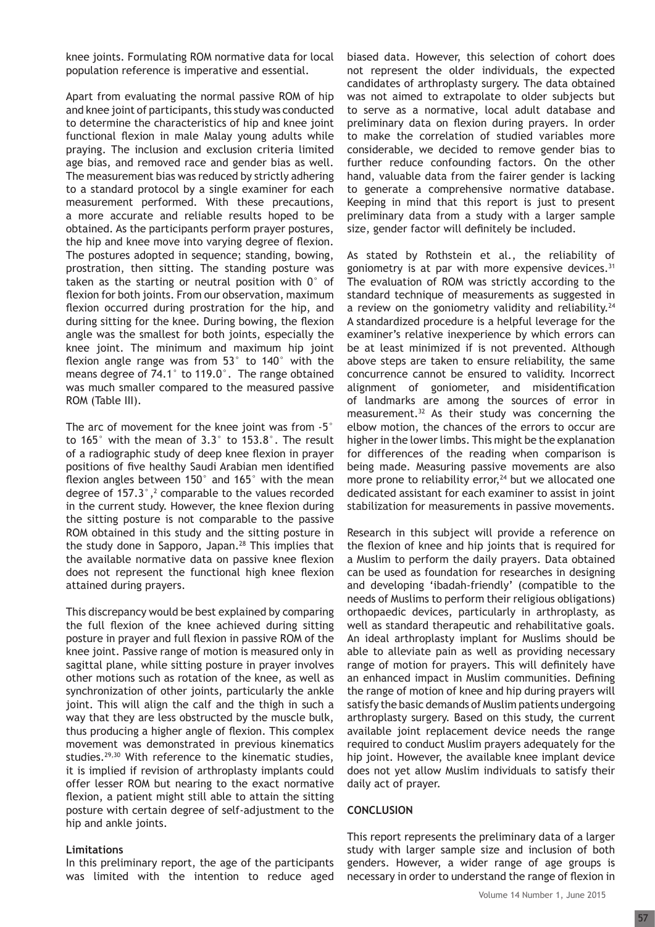knee joints. Formulating ROM normative data for local population reference is imperative and essential.

Apart from evaluating the normal passive ROM of hip and knee joint of participants, this study was conducted to determine the characteristics of hip and knee joint functional flexion in male Malay young adults while praying. The inclusion and exclusion criteria limited age bias, and removed race and gender bias as well. The measurement bias was reduced by strictly adhering to a standard protocol by a single examiner for each measurement performed. With these precautions, a more accurate and reliable results hoped to be obtained. As the participants perform prayer postures, the hip and knee move into varying degree of flexion. The postures adopted in sequence; standing, bowing, prostration, then sitting. The standing posture was taken as the starting or neutral position with 0° of flexion for both joints. From our observation, maximum flexion occurred during prostration for the hip, and during sitting for the knee. During bowing, the flexion angle was the smallest for both joints, especially the knee joint. The minimum and maximum hip joint flexion angle range was from 53° to 140° with the means degree of 74.1° to 119.0°. The range obtained was much smaller compared to the measured passive ROM (Table III).

The arc of movement for the knee joint was from -5° to 165° with the mean of 3.3° to 153.8°. The result of a radiographic study of deep knee flexion in prayer positions of five healthy Saudi Arabian men identified flexion angles between 150° and 165° with the mean degree of  $157.3^{\circ}$ ,<sup>2</sup> comparable to the values recorded in the current study. However, the knee flexion during the sitting posture is not comparable to the passive ROM obtained in this study and the sitting posture in the study done in Sapporo, Japan.<sup>28</sup> This implies that the available normative data on passive knee flexion does not represent the functional high knee flexion attained during prayers.

This discrepancy would be best explained by comparing the full flexion of the knee achieved during sitting posture in prayer and full flexion in passive ROM of the knee joint. Passive range of motion is measured only in sagittal plane, while sitting posture in prayer involves other motions such as rotation of the knee, as well as synchronization of other joints, particularly the ankle joint. This will align the calf and the thigh in such a way that they are less obstructed by the muscle bulk, thus producing a higher angle of flexion. This complex movement was demonstrated in previous kinematics studies.29,30 With reference to the kinematic studies, it is implied if revision of arthroplasty implants could offer lesser ROM but nearing to the exact normative flexion, a patient might still able to attain the sitting posture with certain degree of self-adjustment to the hip and ankle joints.

#### **Limitations**

In this preliminary report, the age of the participants was limited with the intention to reduce aged biased data. However, this selection of cohort does not represent the older individuals, the expected candidates of arthroplasty surgery. The data obtained was not aimed to extrapolate to older subjects but to serve as a normative, local adult database and preliminary data on flexion during prayers. In order to make the correlation of studied variables more considerable, we decided to remove gender bias to further reduce confounding factors. On the other hand, valuable data from the fairer gender is lacking to generate a comprehensive normative database. Keeping in mind that this report is just to present preliminary data from a study with a larger sample size, gender factor will definitely be included.

As stated by Rothstein et al., the reliability of goniometry is at par with more expensive devices. $31$ The evaluation of ROM was strictly according to the standard technique of measurements as suggested in a review on the goniometry validity and reliability.<sup>24</sup> A standardized procedure is a helpful leverage for the examiner's relative inexperience by which errors can be at least minimized if is not prevented. Although above steps are taken to ensure reliability, the same concurrence cannot be ensured to validity. Incorrect alignment of goniometer, and misidentification of landmarks are among the sources of error in measurement.32 As their study was concerning the elbow motion, the chances of the errors to occur are higher in the lower limbs. This might be the explanation for differences of the reading when comparison is being made. Measuring passive movements are also more prone to reliability error, $24$  but we allocated one dedicated assistant for each examiner to assist in joint stabilization for measurements in passive movements.

Research in this subject will provide a reference on the flexion of knee and hip joints that is required for a Muslim to perform the daily prayers. Data obtained can be used as foundation for researches in designing and developing 'ibadah-friendly' (compatible to the needs of Muslims to perform their religious obligations) orthopaedic devices, particularly in arthroplasty, as well as standard therapeutic and rehabilitative goals. An ideal arthroplasty implant for Muslims should be able to alleviate pain as well as providing necessary range of motion for prayers. This will definitely have an enhanced impact in Muslim communities. Defining the range of motion of knee and hip during prayers will satisfy the basic demands of Muslim patients undergoing arthroplasty surgery. Based on this study, the current available joint replacement device needs the range required to conduct Muslim prayers adequately for the hip joint. However, the available knee implant device does not yet allow Muslim individuals to satisfy their daily act of prayer.

#### **CONCLUSION**

This report represents the preliminary data of a larger study with larger sample size and inclusion of both genders. However, a wider range of age groups is necessary in order to understand the range of flexion in